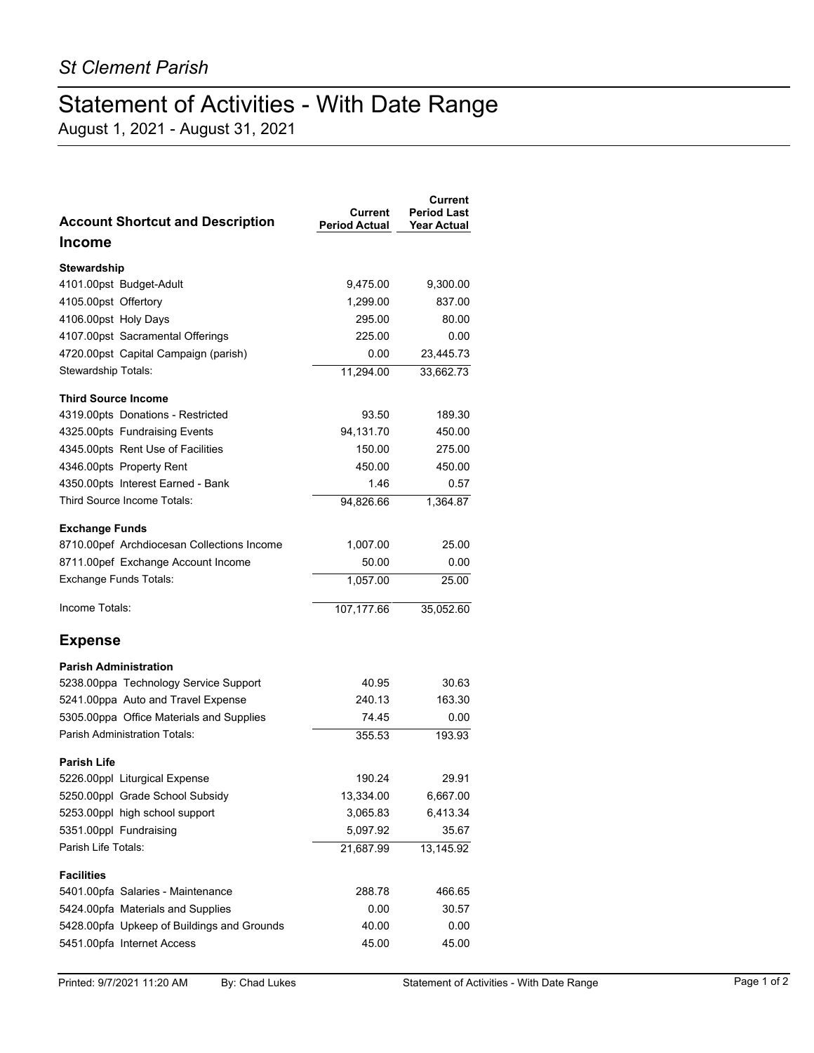## Statement of Activities - With Date Range

August 1, 2021 - August 31, 2021

| <b>Account Shortcut and Description</b>    | Current<br><b>Period Actual</b> | <b>Current</b><br><b>Period Last</b><br><b>Year Actual</b> |
|--------------------------------------------|---------------------------------|------------------------------------------------------------|
| Income                                     |                                 |                                                            |
| Stewardship                                |                                 |                                                            |
| 4101.00pst Budget-Adult                    | 9,475.00                        | 9,300.00                                                   |
| 4105.00pst Offertory                       | 1,299.00                        | 837.00                                                     |
| 4106.00pst Holy Days                       | 295.00                          | 80.00                                                      |
| 4107.00pst Sacramental Offerings           | 225.00                          | 0.00                                                       |
| 4720.00pst Capital Campaign (parish)       | 0.00                            | 23,445.73                                                  |
| Stewardship Totals:                        | 11,294.00                       | 33,662.73                                                  |
| <b>Third Source Income</b>                 |                                 |                                                            |
| 4319.00pts Donations - Restricted          | 93.50                           | 189.30                                                     |
| 4325.00pts Fundraising Events              | 94,131.70                       | 450.00                                                     |
| 4345.00pts Rent Use of Facilities          | 150.00                          | 275.00                                                     |
| 4346.00pts Property Rent                   | 450.00                          | 450.00                                                     |
| 4350.00pts Interest Earned - Bank          | 1.46                            | 0.57                                                       |
| Third Source Income Totals:                | 94.826.66                       | 1,364.87                                                   |
| <b>Exchange Funds</b>                      |                                 |                                                            |
| 8710.00pef Archdiocesan Collections Income | 1,007.00                        | 25.00                                                      |
| 8711.00pef Exchange Account Income         | 50.00                           | 0.00                                                       |
| Exchange Funds Totals:                     | 1,057.00                        | 25.00                                                      |
| Income Totals:                             | 107,177.66                      | 35,052.60                                                  |
| <b>Expense</b>                             |                                 |                                                            |
| <b>Parish Administration</b>               |                                 |                                                            |
| 5238.00ppa Technology Service Support      | 40.95                           | 30.63                                                      |
| 5241.00ppa Auto and Travel Expense         | 240.13                          | 163.30                                                     |
| 5305.00ppa Office Materials and Supplies   | 74.45                           | 0.00                                                       |
| <b>Parish Administration Totals:</b>       | 355.53                          | 193.93                                                     |
| <b>Parish Life</b>                         |                                 |                                                            |
| 5226.00ppl Liturgical Expense              | 190.24                          | 29.91                                                      |
| 5250.00ppl Grade School Subsidy            | 13,334.00                       | 6,667.00                                                   |
| 5253.00ppl high school support             | 3,065.83                        | 6,413.34                                                   |
| 5351.00ppl Fundraising                     | 5,097.92                        | 35.67                                                      |
| Parish Life Totals:                        | 21,687.99                       | 13,145.92                                                  |
| <b>Facilities</b>                          |                                 |                                                            |
| 5401.00pfa Salaries - Maintenance          | 288.78                          | 466.65                                                     |
| 5424.00pfa Materials and Supplies          | 0.00                            | 30.57                                                      |
| 5428.00pfa Upkeep of Buildings and Grounds | 40.00                           | 0.00                                                       |
| 5451.00pfa Internet Access                 | 45.00                           | 45.00                                                      |